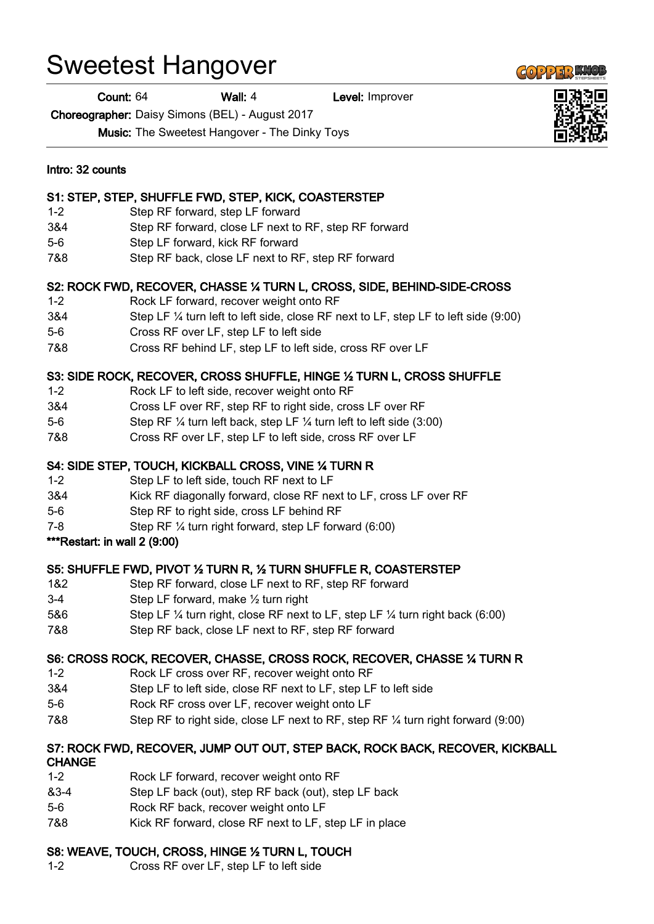# Sweetest Hangover

Intro: 32 counts

Count: 64 Wall: 4 Level: Improver

Choreographer: Daisy Simons (BEL) - August 2017

1-2 Step RF forward, step LF forward

Music: The Sweetest Hangover - The Dinky Toys

# 3&4 Step RF forward, close LF next to RF, step RF forward 5-6 Step LF forward, kick RF forward 7&8 Step RF back, close LF next to RF, step RF forward S2: ROCK FWD, RECOVER, CHASSE ¼ TURN L, CROSS, SIDE, BEHIND-SIDE-CROSS 1-2 Rock LF forward, recover weight onto RF 3&4 Step LF ¼ turn left to left side, close RF next to LF, step LF to left side (9:00) 5-6 Cross RF over LF, step LF to left side 7&8 Cross RF behind LF, step LF to left side, cross RF over LF S3: SIDE ROCK, RECOVER, CROSS SHUFFLE, HINGE ½ TURN L, CROSS SHUFFLE 1-2 Rock LF to left side, recover weight onto RF 3&4 Cross LF over RF, step RF to right side, cross LF over RF 5-6 Step RF ¼ turn left back, step LF ¼ turn left to left side (3:00) 7&8 Cross RF over LF, step LF to left side, cross RF over LF S4: SIDE STEP, TOUCH, KICKBALL CROSS, VINE ¼ TURN R 1-2 Step LF to left side, touch RF next to LF 3&4 Kick RF diagonally forward, close RF next to LF, cross LF over RF 5-6 Step RF to right side, cross LF behind RF 7-8 Step RF ¼ turn right forward, step LF forward (6:00)

\*\*\*Restart: in wall 2 (9:00)

### S5: SHUFFLE FWD, PIVOT ½ TURN R, ½ TURN SHUFFLE R, COASTERSTEP

- 1&2 Step RF forward, close LF next to RF, step RF forward
- 3-4 Step LF forward, make ½ turn right
- 5&6 Step LF ¼ turn right, close RF next to LF, step LF ¼ turn right back (6:00)
- 7&8 Step RF back, close LF next to RF, step RF forward

#### S6: CROSS ROCK, RECOVER, CHASSE, CROSS ROCK, RECOVER, CHASSE ¼ TURN R

- 1-2 Rock LF cross over RF, recover weight onto RF
- 3&4 Step LF to left side, close RF next to LF, step LF to left side
- 5-6 Rock RF cross over LF, recover weight onto LF
- 7&8 Step RF to right side, close LF next to RF, step RF ¼ turn right forward (9:00)

#### S7: ROCK FWD, RECOVER, JUMP OUT OUT, STEP BACK, ROCK BACK, RECOVER, KICKBALL CHANGE

- 1-2 Rock LF forward, recover weight onto RF
- &3-4 Step LF back (out), step RF back (out), step LF back
- 5-6 Rock RF back, recover weight onto LF
- 7&8 Kick RF forward, close RF next to LF, step LF in place

## S8: WEAVE, TOUCH, CROSS, HINGE ½ TURN L, TOUCH

1-2 Cross RF over LF, step LF to left side





S1: STEP, STEP, SHUFFLE FWD, STEP, KICK, COASTERSTEP